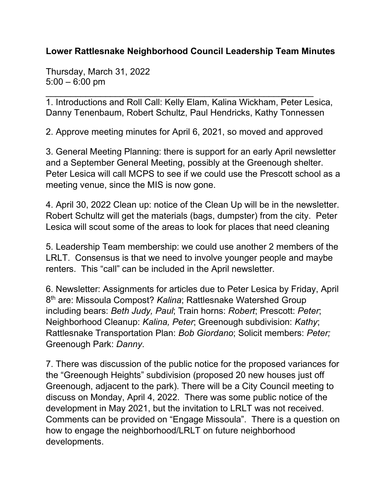## **Lower Rattlesnake Neighborhood Council Leadership Team Minutes**

Thursday, March 31, 2022 5:00 – 6:00 pm

\_\_\_\_\_\_\_\_\_\_\_\_\_\_\_\_\_\_\_\_\_\_\_\_\_\_\_\_\_\_\_\_\_\_\_\_\_\_\_\_\_\_\_\_\_\_\_\_\_\_\_\_\_\_ 1. Introductions and Roll Call: Kelly Elam, Kalina Wickham, Peter Lesica, Danny Tenenbaum, Robert Schultz, Paul Hendricks, Kathy Tonnessen

2. Approve meeting minutes for April 6, 2021, so moved and approved

3. General Meeting Planning: there is support for an early April newsletter and a September General Meeting, possibly at the Greenough shelter. Peter Lesica will call MCPS to see if we could use the Prescott school as a meeting venue, since the MIS is now gone.

4. April 30, 2022 Clean up: notice of the Clean Up will be in the newsletter. Robert Schultz will get the materials (bags, dumpster) from the city. Peter Lesica will scout some of the areas to look for places that need cleaning

5. Leadership Team membership: we could use another 2 members of the LRLT. Consensus is that we need to involve younger people and maybe renters. This "call" can be included in the April newsletter.

6. Newsletter: Assignments for articles due to Peter Lesica by Friday, April 8th are: Missoula Compost? *Kalina*; Rattlesnake Watershed Group including bears: *Beth Judy, Paul*; Train horns: *Robert*; Prescott: *Peter*; Neighborhood Cleanup: *Kalina, Peter*; Greenough subdivision: *Kathy*; Rattlesnake Transportation Plan: *Bob Giordano*; Solicit members: *Peter;* Greenough Park: *Danny*.

7. There was discussion of the public notice for the proposed variances for the "Greenough Heights" subdivision (proposed 20 new houses just off Greenough, adjacent to the park). There will be a City Council meeting to discuss on Monday, April 4, 2022. There was some public notice of the development in May 2021, but the invitation to LRLT was not received. Comments can be provided on "Engage Missoula". There is a question on how to engage the neighborhood/LRLT on future neighborhood developments.